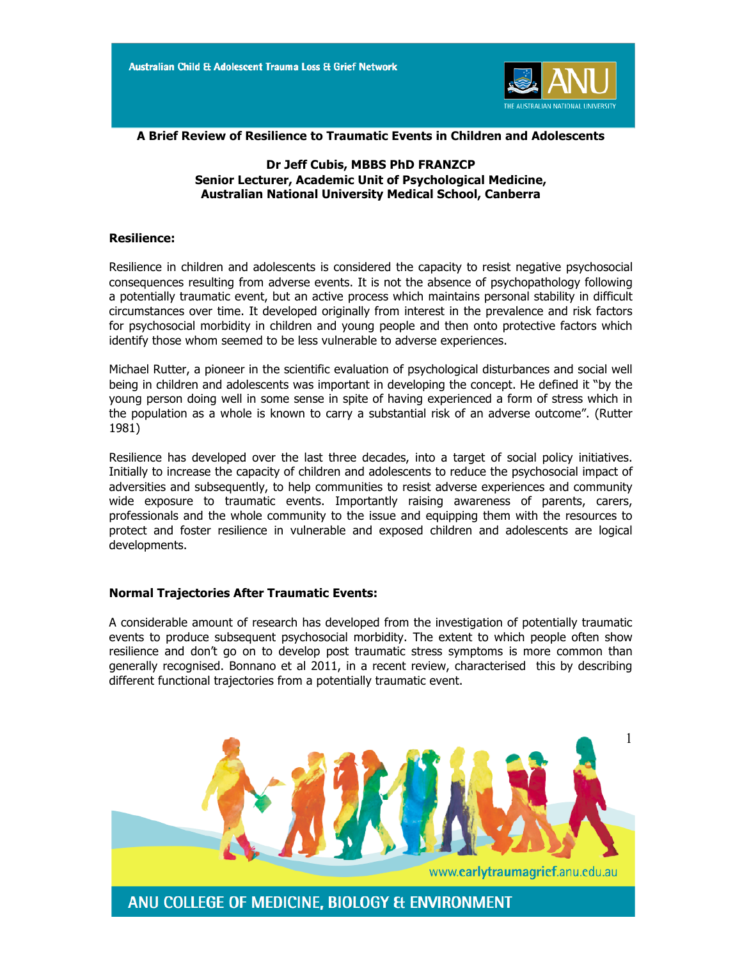

**A Brief Review of Resilience to Traumatic Events in Children and Adolescents**

# **Dr Jeff Cubis, MBBS PhD FRANZCP Senior Lecturer, Academic Unit of Psychological Medicine, Australian National University Medical School, Canberra**

### **Resilience:**

Resilience in children and adolescents is considered the capacity to resist negative psychosocial consequences resulting from adverse events. It is not the absence of psychopathology following a potentially traumatic event, but an active process which maintains personal stability in difficult circumstances over time. It developed originally from interest in the prevalence and risk factors for psychosocial morbidity in children and young people and then onto protective factors which identify those whom seemed to be less vulnerable to adverse experiences.

Michael Rutter, a pioneer in the scientific evaluation of psychological disturbances and social well being in children and adolescents was important in developing the concept. He defined it "by the young person doing well in some sense in spite of having experienced a form of stress which in the population as a whole is known to carry a substantial risk of an adverse outcome". (Rutter 1981)

Resilience has developed over the last three decades, into a target of social policy initiatives. Initially to increase the capacity of children and adolescents to reduce the psychosocial impact of adversities and subsequently, to help communities to resist adverse experiences and community wide exposure to traumatic events. Importantly raising awareness of parents, carers, professionals and the whole community to the issue and equipping them with the resources to protect and foster resilience in vulnerable and exposed children and adolescents are logical developments.

## **Normal Trajectories After Traumatic Events:**

A considerable amount of research has developed from the investigation of potentially traumatic events to produce subsequent psychosocial morbidity. The extent to which people often show resilience and don't go on to develop post traumatic stress symptoms is more common than generally recognised. Bonnano et al 2011, in a recent review, characterised this by describing different functional trajectories from a potentially traumatic event.

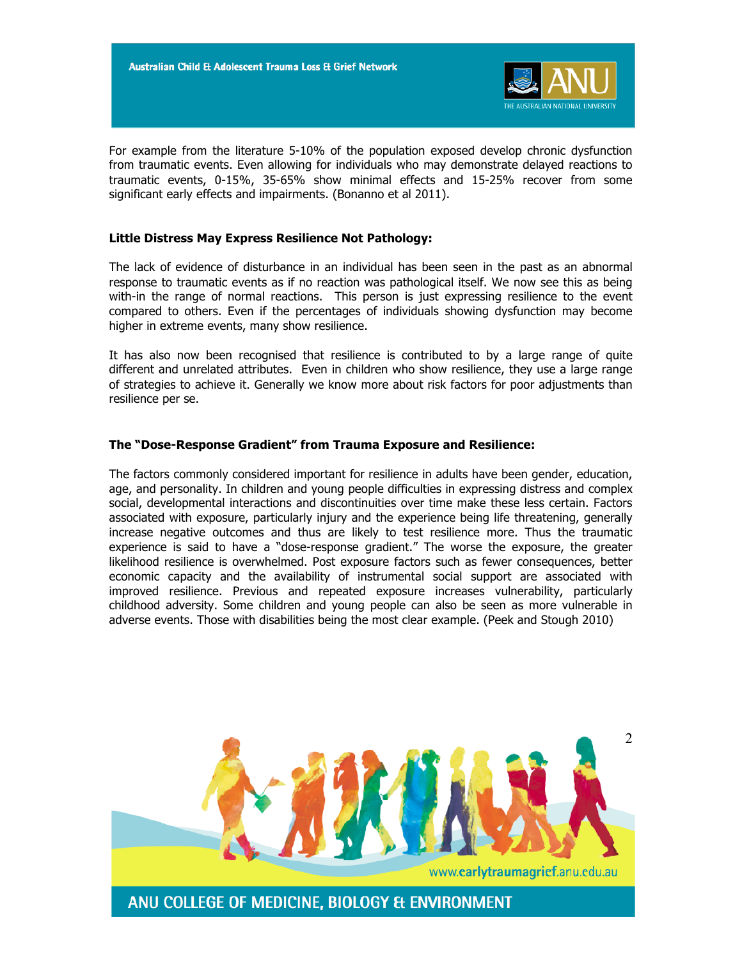

For example from the literature 5-10% of the population exposed develop chronic dysfunction from traumatic events. Even allowing for individuals who may demonstrate delayed reactions to traumatic events, 0-15%, 35-65% show minimal effects and 15-25% recover from some significant early effects and impairments. (Bonanno et al 2011).

### **Little Distress May Express Resilience Not Pathology:**

The lack of evidence of disturbance in an individual has been seen in the past as an abnormal response to traumatic events as if no reaction was pathological itself. We now see this as being with-in the range of normal reactions. This person is just expressing resilience to the event compared to others. Even if the percentages of individuals showing dysfunction may become higher in extreme events, many show resilience.

It has also now been recognised that resilience is contributed to by a large range of quite different and unrelated attributes. Even in children who show resilience, they use a large range of strategies to achieve it. Generally we know more about risk factors for poor adjustments than resilience per se.

### **The "Dose-Response Gradient" from Trauma Exposure and Resilience:**

The factors commonly considered important for resilience in adults have been gender, education, age, and personality. In children and young people difficulties in expressing distress and complex social, developmental interactions and discontinuities over time make these less certain. Factors associated with exposure, particularly injury and the experience being life threatening, generally increase negative outcomes and thus are likely to test resilience more. Thus the traumatic experience is said to have a "dose-response gradient." The worse the exposure, the greater likelihood resilience is overwhelmed. Post exposure factors such as fewer consequences, better economic capacity and the availability of instrumental social support are associated with improved resilience. Previous and repeated exposure increases vulnerability, particularly childhood adversity. Some children and young people can also be seen as more vulnerable in adverse events. Those with disabilities being the most clear example. (Peek and Stough 2010)

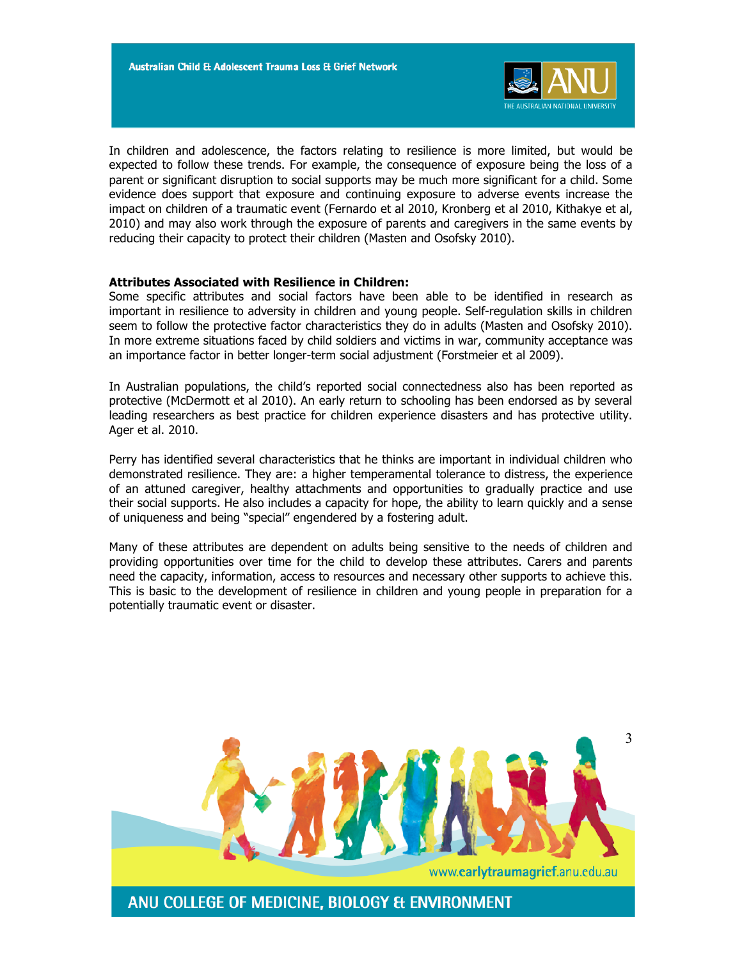

In children and adolescence, the factors relating to resilience is more limited, but would be expected to follow these trends. For example, the consequence of exposure being the loss of a parent or significant disruption to social supports may be much more significant for a child. Some evidence does support that exposure and continuing exposure to adverse events increase the impact on children of a traumatic event (Fernardo et al 2010, Kronberg et al 2010, Kithakye et al, 2010) and may also work through the exposure of parents and caregivers in the same events by reducing their capacity to protect their children (Masten and Osofsky 2010).

### **Attributes Associated with Resilience in Children:**

Some specific attributes and social factors have been able to be identified in research as important in resilience to adversity in children and young people. Self-regulation skills in children seem to follow the protective factor characteristics they do in adults (Masten and Osofsky 2010). In more extreme situations faced by child soldiers and victims in war, community acceptance was an importance factor in better longer-term social adjustment (Forstmeier et al 2009).

In Australian populations, the child's reported social connectedness also has been reported as protective (McDermott et al 2010). An early return to schooling has been endorsed as by several leading researchers as best practice for children experience disasters and has protective utility. Ager et al. 2010.

Perry has identified several characteristics that he thinks are important in individual children who demonstrated resilience. They are: a higher temperamental tolerance to distress, the experience of an attuned caregiver, healthy attachments and opportunities to gradually practice and use their social supports. He also includes a capacity for hope, the ability to learn quickly and a sense of uniqueness and being "special" engendered by a fostering adult.

Many of these attributes are dependent on adults being sensitive to the needs of children and providing opportunities over time for the child to develop these attributes. Carers and parents need the capacity, information, access to resources and necessary other supports to achieve this. This is basic to the development of resilience in children and young people in preparation for a potentially traumatic event or disaster.

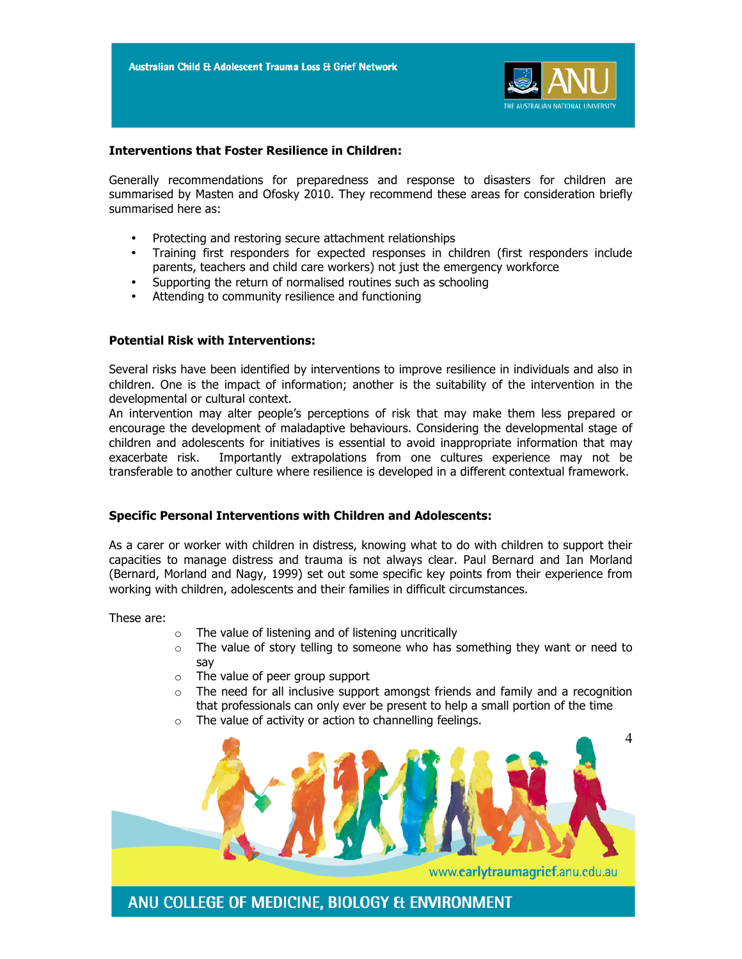

# **Interventions that Foster Resilience in Children:**

Generally recommendations for preparedness and response to disasters for children are summarised by Masten and Ofosky 2010. They recommend these areas for consideration briefly summarised here as:

- Protecting and restoring secure attachment relationships
- Training first responders for expected responses in children (first responders include parents, teachers and child care workers) not just the emergency workforce
- Supporting the return of normalised routines such as schooling
- Attending to community resilience and functioning

## **Potential Risk with Interventions:**

Several risks have been identified by interventions to improve resilience in individuals and also in children. One is the impact of information; another is the suitability of the intervention in the developmental or cultural context.

An intervention may alter people's perceptions of risk that may make them less prepared or encourage the development of maladaptive behaviours. Considering the developmental stage of children and adolescents for initiatives is essential to avoid inappropriate information that may exacerbate risk. Importantly extrapolations from one cultures experience may not be transferable to another culture where resilience is developed in a different contextual framework.

## **Specific Personal Interventions with Children and Adolescents:**

As a carer or worker with children in distress, knowing what to do with children to support their capacities to manage distress and trauma is not always clear. Paul Bernard and Ian Morland (Bernard, Morland and Nagy, 1999) set out some specific key points from their experience from working with children, adolescents and their families in difficult circumstances.

These are:

- o The value of listening and of listening uncritically
- $\circ$  The value of story telling to someone who has something they want or need to say
- o The value of peer group support
- $\circ$  The need for all inclusive support amongst friends and family and a recognition that professionals can only ever be present to help a small portion of the time
- $\circ$  The value of activity or action to channelling feelings.

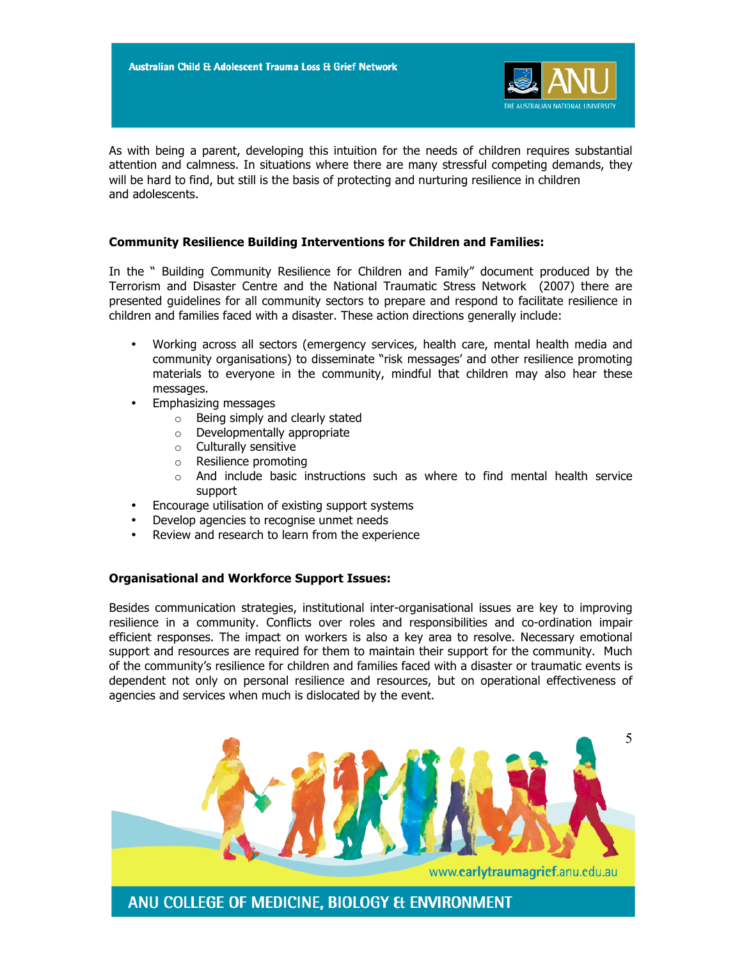![](_page_4_Picture_1.jpeg)

As with being a parent, developing this intuition for the needs of children requires substantial attention and calmness. In situations where there are many stressful competing demands, they will be hard to find, but still is the basis of protecting and nurturing resilience in children and adolescents.

# **Community Resilience Building Interventions for Children and Families:**

In the " Building Community Resilience for Children and Family" document produced by the Terrorism and Disaster Centre and the National Traumatic Stress Network (2007) there are presented guidelines for all community sectors to prepare and respond to facilitate resilience in children and families faced with a disaster. These action directions generally include:

- Working across all sectors (emergency services, health care, mental health media and community organisations) to disseminate "risk messages' and other resilience promoting materials to everyone in the community, mindful that children may also hear these messages.
- Emphasizing messages
	- o Being simply and clearly stated
	- o Developmentally appropriate
	- o Culturally sensitive
	- o Resilience promoting
	- $\circ$  And include basic instructions such as where to find mental health service support
- Encourage utilisation of existing support systems
- Develop agencies to recognise unmet needs
- Review and research to learn from the experience

## **Organisational and Workforce Support Issues:**

Besides communication strategies, institutional inter-organisational issues are key to improving resilience in a community. Conflicts over roles and responsibilities and co-ordination impair efficient responses. The impact on workers is also a key area to resolve. Necessary emotional support and resources are required for them to maintain their support for the community. Much of the community's resilience for children and families faced with a disaster or traumatic events is dependent not only on personal resilience and resources, but on operational effectiveness of agencies and services when much is dislocated by the event.

![](_page_4_Picture_17.jpeg)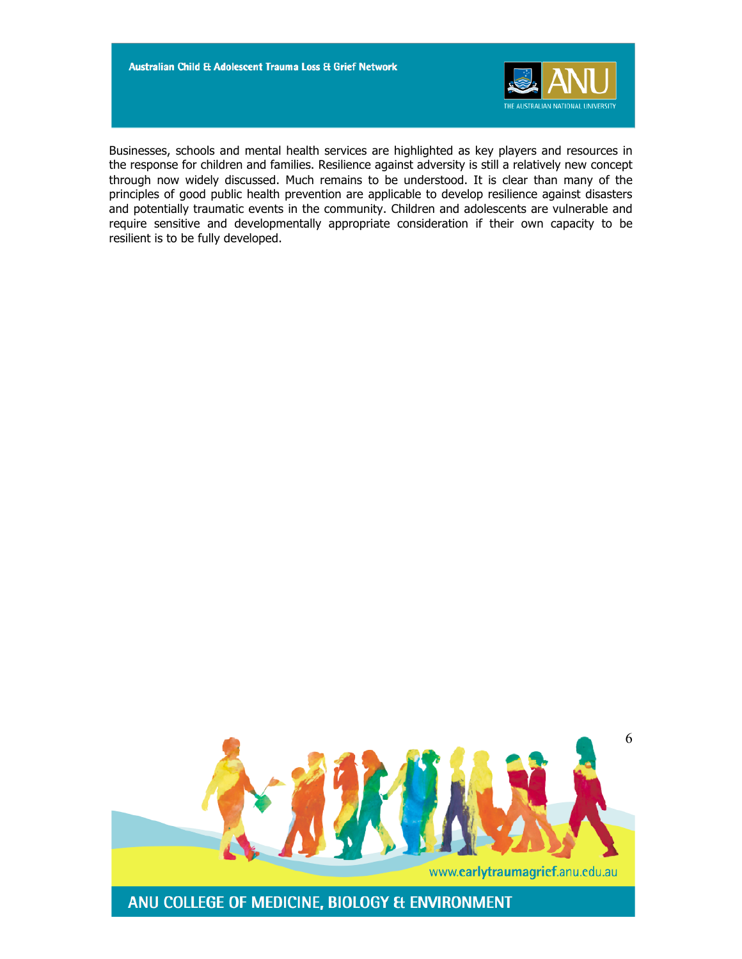![](_page_5_Picture_1.jpeg)

Businesses, schools and mental health services are highlighted as key players and resources in the response for children and families. Resilience against adversity is still a relatively new concept through now widely discussed. Much remains to be understood. It is clear than many of the principles of good public health prevention are applicable to develop resilience against disasters and potentially traumatic events in the community. Children and adolescents are vulnerable and require sensitive and developmentally appropriate consideration if their own capacity to be resilient is to be fully developed.

![](_page_5_Picture_3.jpeg)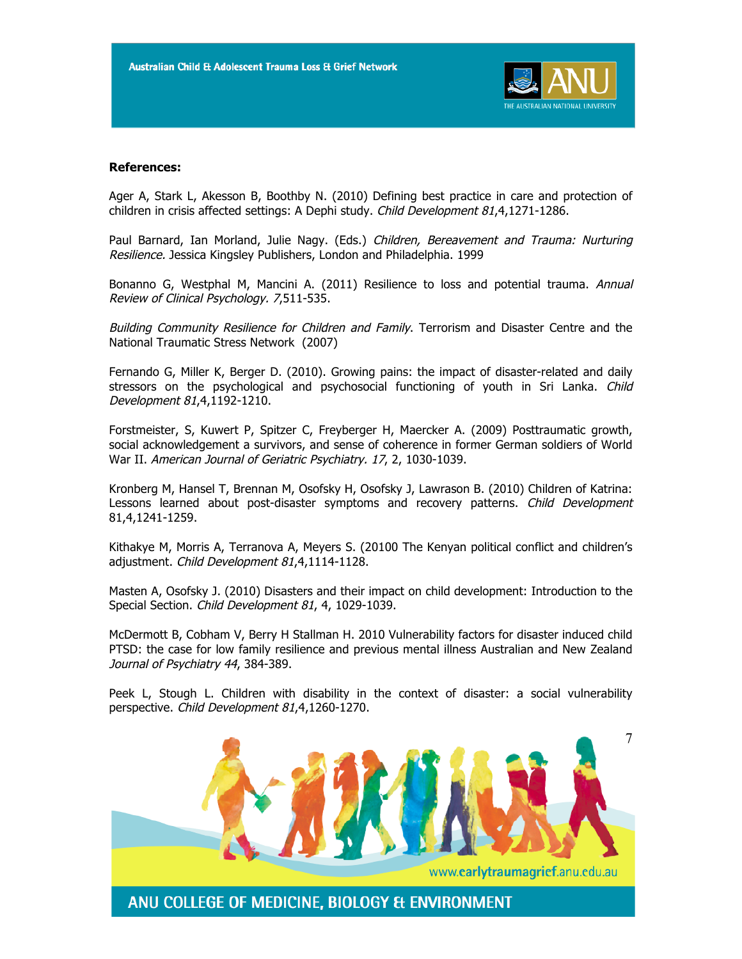![](_page_6_Picture_1.jpeg)

### **References:**

Ager A, Stark L, Akesson B, Boothby N. (2010) Defining best practice in care and protection of children in crisis affected settings: A Dephi study. Child Development 81,4,1271-1286.

Paul Barnard, Ian Morland, Julie Nagy. (Eds.) Children, Bereavement and Trauma: Nurturing Resilience. Jessica Kingsley Publishers, London and Philadelphia. 1999

Bonanno G, Westphal M, Mancini A. (2011) Resilience to loss and potential trauma. Annual Review of Clinical Psychology. 7,511-535.

Building Community Resilience for Children and Family. Terrorism and Disaster Centre and the National Traumatic Stress Network (2007)

Fernando G, Miller K, Berger D. (2010). Growing pains: the impact of disaster-related and daily stressors on the psychological and psychosocial functioning of youth in Sri Lanka. Child Development 81,4,1192-1210.

Forstmeister, S, Kuwert P, Spitzer C, Freyberger H, Maercker A. (2009) Posttraumatic growth, social acknowledgement a survivors, and sense of coherence in former German soldiers of World War II. American Journal of Geriatric Psychiatry. 17, 2, 1030-1039.

Kronberg M, Hansel T, Brennan M, Osofsky H, Osofsky J, Lawrason B. (2010) Children of Katrina: Lessons learned about post-disaster symptoms and recovery patterns. Child Development 81,4,1241-1259.

Kithakye M, Morris A, Terranova A, Meyers S. (20100 The Kenyan political conflict and children's adjustment. Child Development 81,4,1114-1128.

Masten A, Osofsky J. (2010) Disasters and their impact on child development: Introduction to the Special Section. Child Development 81, 4, 1029-1039.

McDermott B, Cobham V, Berry H Stallman H. 2010 Vulnerability factors for disaster induced child PTSD: the case for low family resilience and previous mental illness Australian and New Zealand Journal of Psychiatry 44, 384-389.

Peek L, Stough L. Children with disability in the context of disaster: a social vulnerability perspective. Child Development 81,4,1260-1270.

![](_page_6_Picture_14.jpeg)